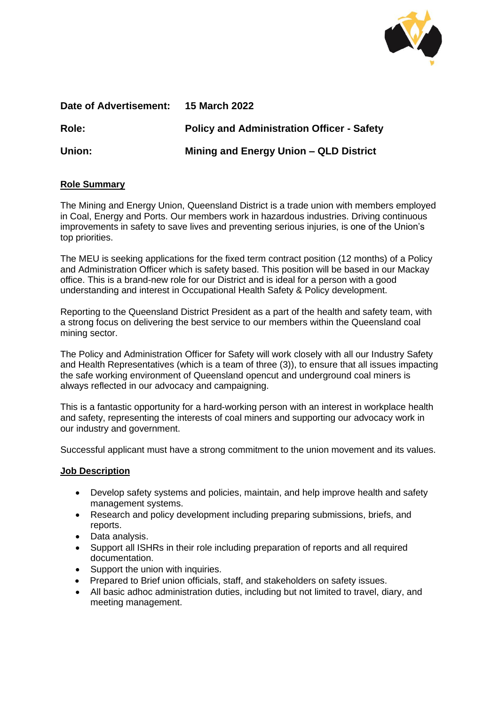

| Date of Advertisement: | <b>15 March 2022</b>                              |
|------------------------|---------------------------------------------------|
| <b>Role:</b>           | <b>Policy and Administration Officer - Safety</b> |
| Union:                 | Mining and Energy Union – QLD District            |

# **Role Summary**

The Mining and Energy Union, Queensland District is a trade union with members employed in Coal, Energy and Ports. Our members work in hazardous industries. Driving continuous improvements in safety to save lives and preventing serious injuries, is one of the Union's top priorities.

The MEU is seeking applications for the fixed term contract position (12 months) of a Policy and Administration Officer which is safety based. This position will be based in our Mackay office. This is a brand-new role for our District and is ideal for a person with a good understanding and interest in Occupational Health Safety & Policy development.

Reporting to the Queensland District President as a part of the health and safety team, with a strong focus on delivering the best service to our members within the Queensland coal mining sector.

The Policy and Administration Officer for Safety will work closely with all our Industry Safety and Health Representatives (which is a team of three (3)), to ensure that all issues impacting the safe working environment of Queensland opencut and underground coal miners is always reflected in our advocacy and campaigning.

This is a fantastic opportunity for a hard-working person with an interest in workplace health and safety, representing the interests of coal miners and supporting our advocacy work in our industry and government.

Successful applicant must have a strong commitment to the union movement and its values.

# **Job Description**

- Develop safety systems and policies, maintain, and help improve health and safety management systems.
- Research and policy development including preparing submissions, briefs, and reports.
- Data analysis.
- Support all ISHRs in their role including preparation of reports and all required documentation.
- Support the union with inquiries.
- Prepared to Brief union officials, staff, and stakeholders on safety issues.
- All basic adhoc administration duties, including but not limited to travel, diary, and meeting management.